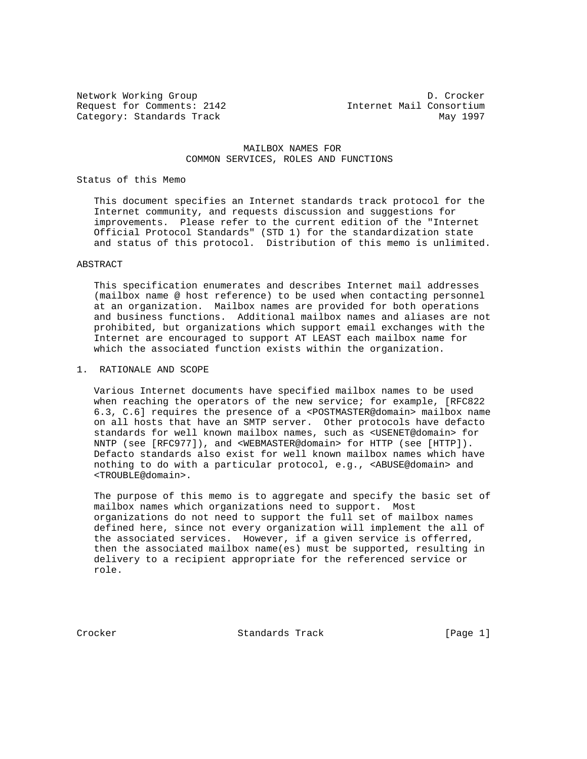Request for Comments: 2142 Internet Mail Consortium Category: Standards Track May 1997

Network Working Group D. Crocker

#### MAILBOX NAMES FOR COMMON SERVICES, ROLES AND FUNCTIONS

#### Status of this Memo

 This document specifies an Internet standards track protocol for the Internet community, and requests discussion and suggestions for improvements. Please refer to the current edition of the "Internet Official Protocol Standards" (STD 1) for the standardization state and status of this protocol. Distribution of this memo is unlimited.

#### ABSTRACT

 This specification enumerates and describes Internet mail addresses (mailbox name @ host reference) to be used when contacting personnel at an organization. Mailbox names are provided for both operations and business functions. Additional mailbox names and aliases are not prohibited, but organizations which support email exchanges with the Internet are encouraged to support AT LEAST each mailbox name for which the associated function exists within the organization.

#### 1. RATIONALE AND SCOPE

 Various Internet documents have specified mailbox names to be used when reaching the operators of the new service; for example, [RFC822 6.3, C.6] requires the presence of a <POSTMASTER@domain> mailbox name on all hosts that have an SMTP server. Other protocols have defacto standards for well known mailbox names, such as <USENET@domain> for NNTP (see [RFC977]), and <WEBMASTER@domain> for HTTP (see [HTTP]). Defacto standards also exist for well known mailbox names which have nothing to do with a particular protocol, e.g., <ABUSE@domain> and <TROUBLE@domain>.

 The purpose of this memo is to aggregate and specify the basic set of mailbox names which organizations need to support. Most organizations do not need to support the full set of mailbox names defined here, since not every organization will implement the all of the associated services. However, if a given service is offerred, then the associated mailbox name(es) must be supported, resulting in delivery to a recipient appropriate for the referenced service or role.

Crocker Standards Track [Page 1]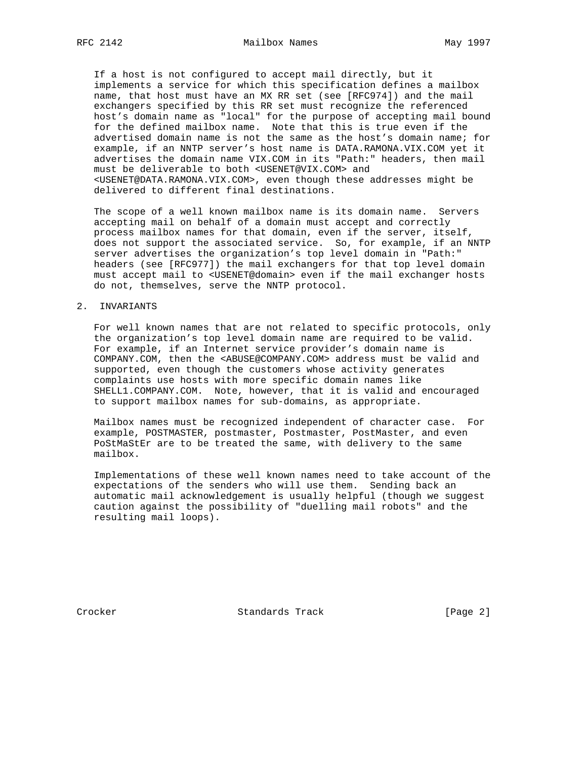If a host is not configured to accept mail directly, but it implements a service for which this specification defines a mailbox name, that host must have an MX RR set (see [RFC974]) and the mail exchangers specified by this RR set must recognize the referenced host's domain name as "local" for the purpose of accepting mail bound for the defined mailbox name. Note that this is true even if the advertised domain name is not the same as the host's domain name; for example, if an NNTP server's host name is DATA.RAMONA.VIX.COM yet it advertises the domain name VIX.COM in its "Path:" headers, then mail must be deliverable to both <USENET@VIX.COM> and <USENET@DATA.RAMONA.VIX.COM>, even though these addresses might be delivered to different final destinations.

 The scope of a well known mailbox name is its domain name. Servers accepting mail on behalf of a domain must accept and correctly process mailbox names for that domain, even if the server, itself, does not support the associated service. So, for example, if an NNTP server advertises the organization's top level domain in "Path:" headers (see [RFC977]) the mail exchangers for that top level domain must accept mail to <USENET@domain> even if the mail exchanger hosts do not, themselves, serve the NNTP protocol.

#### 2. INVARIANTS

 For well known names that are not related to specific protocols, only the organization's top level domain name are required to be valid. For example, if an Internet service provider's domain name is COMPANY.COM, then the <ABUSE@COMPANY.COM> address must be valid and supported, even though the customers whose activity generates complaints use hosts with more specific domain names like SHELL1.COMPANY.COM. Note, however, that it is valid and encouraged to support mailbox names for sub-domains, as appropriate.

 Mailbox names must be recognized independent of character case. For example, POSTMASTER, postmaster, Postmaster, PostMaster, and even PoStMaStEr are to be treated the same, with delivery to the same mailbox.

 Implementations of these well known names need to take account of the expectations of the senders who will use them. Sending back an automatic mail acknowledgement is usually helpful (though we suggest caution against the possibility of "duelling mail robots" and the resulting mail loops).

Crocker **Standards Track** [Page 2]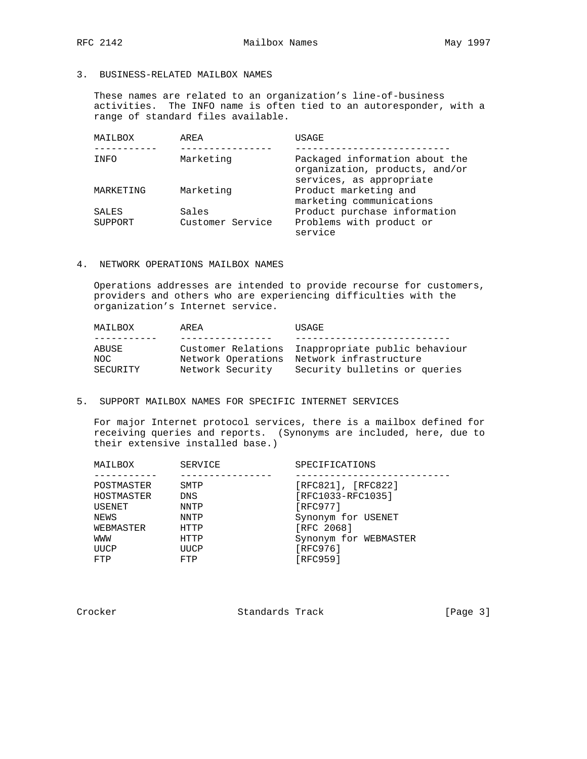# 3. BUSINESS-RELATED MAILBOX NAMES

 These names are related to an organization's line-of-business activities. The INFO name is often tied to an autoresponder, with a range of standard files available.

| MAILBOX      | AREA             | USAGE                                                                                        |
|--------------|------------------|----------------------------------------------------------------------------------------------|
|              |                  |                                                                                              |
| INFO         | Marketing        | Packaged information about the<br>organization, products, and/or<br>services, as appropriate |
| MARKETING    | Marketing        | Product marketing and<br>marketing communications                                            |
| <b>SALES</b> | Sales            | Product purchase information                                                                 |
| SUPPORT      | Customer Service | Problems with product or<br>service                                                          |

# 4. NETWORK OPERATIONS MAILBOX NAMES

 Operations addresses are intended to provide recourse for customers, providers and others who are experiencing difficulties with the organization's Internet service.

| MAILBOX                          | AREA                                                         | <b>USAGE</b>                                                                              |
|----------------------------------|--------------------------------------------------------------|-------------------------------------------------------------------------------------------|
|                                  |                                                              |                                                                                           |
| ABUSE<br>NOC.<br><b>SECURITY</b> | Customer Relations<br>Network Operations<br>Network Security | Inappropriate public behaviour<br>Network infrastructure<br>Security bulletins or queries |

## 5. SUPPORT MAILBOX NAMES FOR SPECIFIC INTERNET SERVICES

 For major Internet protocol services, there is a mailbox defined for receiving queries and reports. (Synonyms are included, here, due to their extensive installed base.)

| MAILBOX    | SERVICE    | SPECIFICATIONS        |
|------------|------------|-----------------------|
|            |            |                       |
| POSTMASTER | SMTP       | [RFC821], [RFC822]    |
| HOSTMASTER | <b>DNS</b> | [RFC1033-RFC1035]     |
| USENET     | NNTP       | [REC977]              |
| NEWS       | NNTP       | Synonym for USENET    |
| WEBMASTER  | HTTP       | [RFC 2068]            |
| MMM        | HTTP       | Synonym for WEBMASTER |
| UUCP       | UUCP       | [RFC976]              |
| FTP        | FTP        | [RFC959]              |
|            |            |                       |

Crocker Standards Track [Page 3]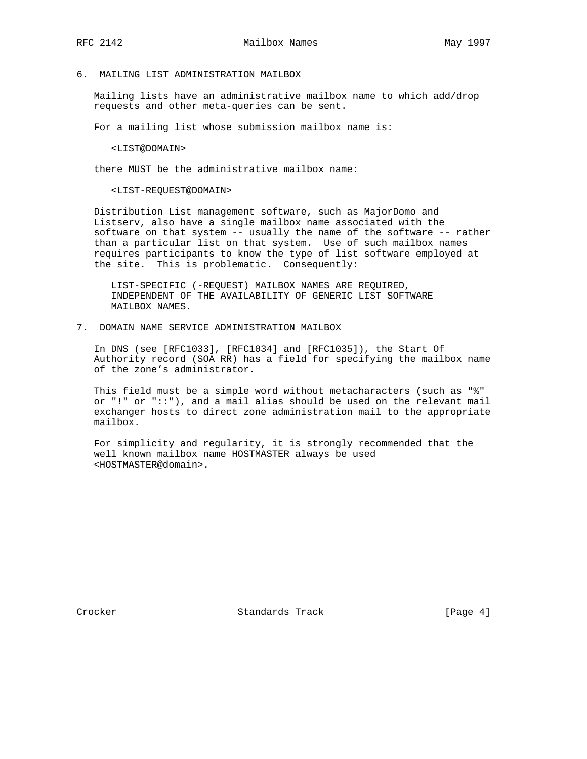# 6. MAILING LIST ADMINISTRATION MAILBOX

 Mailing lists have an administrative mailbox name to which add/drop requests and other meta-queries can be sent.

For a mailing list whose submission mailbox name is:

<LIST@DOMAIN>

there MUST be the administrative mailbox name:

<LIST-REQUEST@DOMAIN>

 Distribution List management software, such as MajorDomo and Listserv, also have a single mailbox name associated with the software on that system -- usually the name of the software -- rather than a particular list on that system. Use of such mailbox names requires participants to know the type of list software employed at the site. This is problematic. Consequently:

 LIST-SPECIFIC (-REQUEST) MAILBOX NAMES ARE REQUIRED, INDEPENDENT OF THE AVAILABILITY OF GENERIC LIST SOFTWARE MAILBOX NAMES.

7. DOMAIN NAME SERVICE ADMINISTRATION MAILBOX

 In DNS (see [RFC1033], [RFC1034] and [RFC1035]), the Start Of Authority record (SOA RR) has a field for specifying the mailbox name of the zone's administrator.

 This field must be a simple word without metacharacters (such as "%" or "!" or "::"), and a mail alias should be used on the relevant mail exchanger hosts to direct zone administration mail to the appropriate mailbox.

 For simplicity and regularity, it is strongly recommended that the well known mailbox name HOSTMASTER always be used <HOSTMASTER@domain>.

Crocker **Standards Track** [Page 4]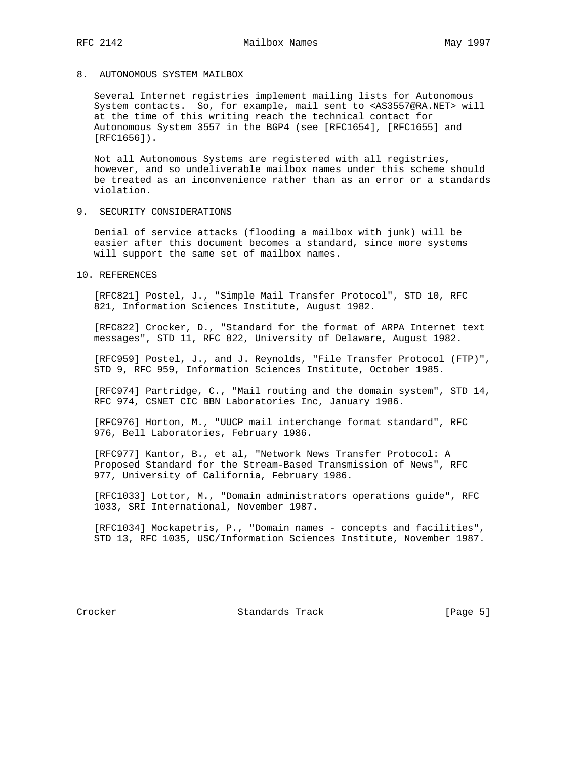## 8. AUTONOMOUS SYSTEM MAILBOX

 Several Internet registries implement mailing lists for Autonomous System contacts. So, for example, mail sent to <AS3557@RA.NET> will at the time of this writing reach the technical contact for Autonomous System 3557 in the BGP4 (see [RFC1654], [RFC1655] and [RFC1656]).

 Not all Autonomous Systems are registered with all registries, however, and so undeliverable mailbox names under this scheme should be treated as an inconvenience rather than as an error or a standards violation.

9. SECURITY CONSIDERATIONS

 Denial of service attacks (flooding a mailbox with junk) will be easier after this document becomes a standard, since more systems will support the same set of mailbox names.

10. REFERENCES

 [RFC821] Postel, J., "Simple Mail Transfer Protocol", STD 10, RFC 821, Information Sciences Institute, August 1982.

 [RFC822] Crocker, D., "Standard for the format of ARPA Internet text messages", STD 11, RFC 822, University of Delaware, August 1982.

 [RFC959] Postel, J., and J. Reynolds, "File Transfer Protocol (FTP)", STD 9, RFC 959, Information Sciences Institute, October 1985.

 [RFC974] Partridge, C., "Mail routing and the domain system", STD 14, RFC 974, CSNET CIC BBN Laboratories Inc, January 1986.

 [RFC976] Horton, M., "UUCP mail interchange format standard", RFC 976, Bell Laboratories, February 1986.

 [RFC977] Kantor, B., et al, "Network News Transfer Protocol: A Proposed Standard for the Stream-Based Transmission of News", RFC 977, University of California, February 1986.

 [RFC1033] Lottor, M., "Domain administrators operations guide", RFC 1033, SRI International, November 1987.

 [RFC1034] Mockapetris, P., "Domain names - concepts and facilities", STD 13, RFC 1035, USC/Information Sciences Institute, November 1987.

Crocker **Standards Track** [Page 5]